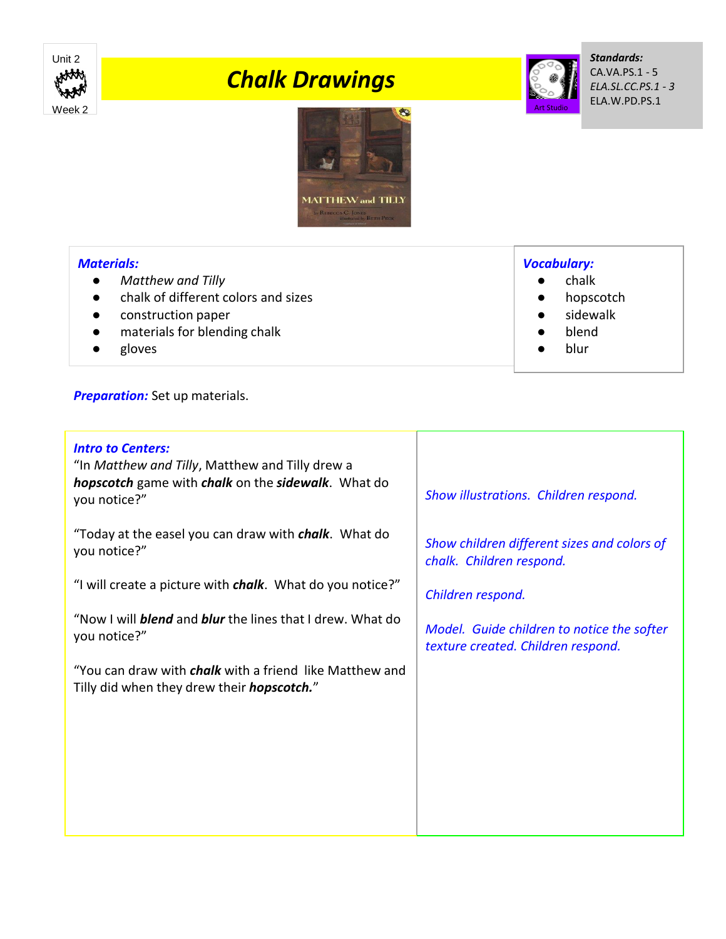

## *Chalk Drawings*



*Standards:* CA.VA.PS.1 - 5 *ELA.SL.CC.PS.1 - 3* ELA.W.PD.PS.1



## *Materials:*

- *Matthew and Tilly*
- chalk of different colors and sizes
- construction paper
- materials for blending chalk
- gloves

**Preparation:** Set up materials.

## *Intro to Centers:* "In *Matthew and Tilly*, Matthew and Tilly drew a *hopscotch* game with *chalk* on the *sidewalk*. What do you notice?" "Today at the easel you can draw with *chalk*. What do you notice?" "I will create a picture with *chalk*. What do you notice?" "Now I will *blend* and *blur* the lines that I drew. What do you notice?" "You can draw with *chalk* with a friend like Matthew and Tilly did when they drew their *hopscotch.*" *Show illustrations. Children respond. Show children different sizes and colors of chalk. Children respond. Children respond. Model. Guide children to notice the softer texture created. Children respond.*

*Vocabulary:*

- chalk
	- hopscotch
- sidewalk
- blend
- blur